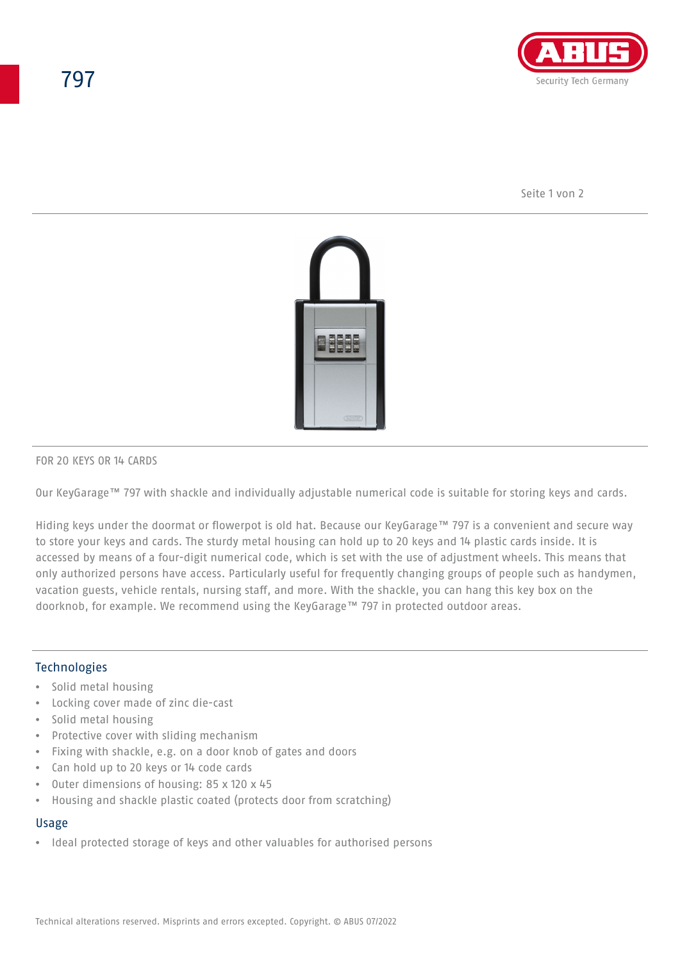

Seite 1 von 2



#### FOR 20 KEYS OR 14 CARDS

Our KeyGarage™ 797 with shackle and individually adjustable numerical code is suitable for storing keys and cards.

Hiding keys under the doormat or flowerpot is old hat. Because our KeyGarage™ 797 is a convenient and secure way to store your keys and cards. The sturdy metal housing can hold up to 20 keys and 14 plastic cards inside. It is accessed by means of a four-digit numerical code, which is set with the use of adjustment wheels. This means that only authorized persons have access. Particularly useful for frequently changing groups of people such as handymen, vacation guests, vehicle rentals, nursing staff, and more. With the shackle, you can hang this key box on the doorknob, for example. We recommend using the KeyGarage™ 797 in protected outdoor areas.

## Technologies

- Solid metal housing
- Locking cover made of zinc die-cast
- Solid metal housing
- Protective cover with sliding mechanism
- Fixing with shackle, e.g. on a door knob of gates and doors
- Can hold up to 20 keys or 14 code cards
- Outer dimensions of housing: 85 x 120 x 45
- Housing and shackle plastic coated (protects door from scratching)

#### Usage

• Ideal protected storage of keys and other valuables for authorised persons